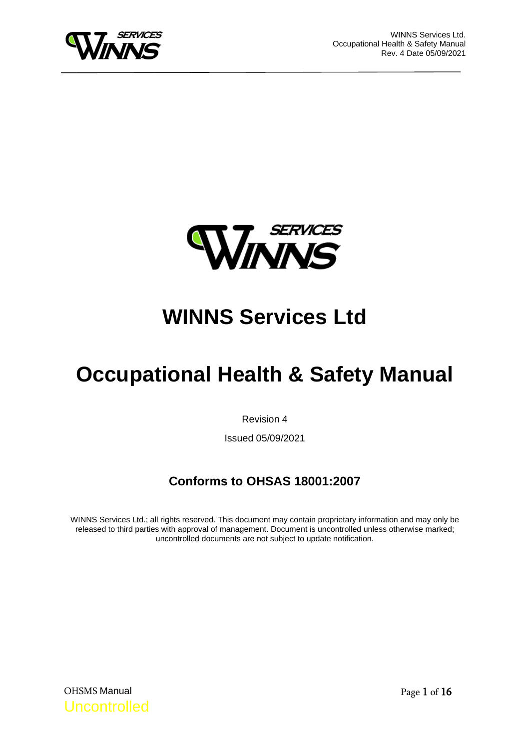



# **WINNS Services Ltd**

# **Occupational Health & Safety Manual**

Revision 4

Issued 05/09/2021

# **Conforms to OHSAS 18001:2007**

WINNS Services Ltd.; all rights reserved. This document may contain proprietary information and may only be released to third parties with approval of management. Document is uncontrolled unless otherwise marked; uncontrolled documents are not subject to update notification.

OHSMS Manual Uncontrolled Page 1 of 16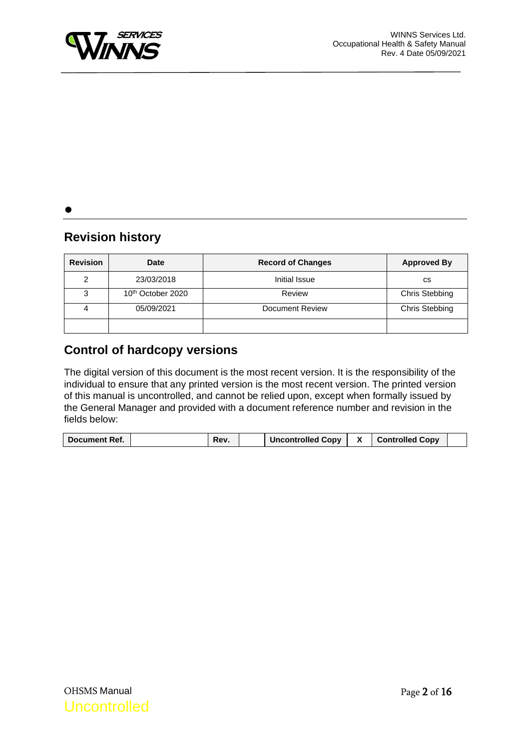

 $\bullet$ 

## **Revision history**

| <b>Revision</b> | <b>Date</b>                   | <b>Record of Changes</b> | <b>Approved By</b> |  |  |
|-----------------|-------------------------------|--------------------------|--------------------|--|--|
| 2               | 23/03/2018                    | Initial Issue            | СS                 |  |  |
| 3               | 10 <sup>th</sup> October 2020 | Review                   | Chris Stebbing     |  |  |
|                 | 05/09/2021                    | Document Review          | Chris Stebbing     |  |  |
|                 |                               |                          |                    |  |  |

### **Control of hardcopy versions**

The digital version of this document is the most recent version. It is the responsibility of the individual to ensure that any printed version is the most recent version. The printed version of this manual is uncontrolled, and cannot be relied upon, except when formally issued by the General Manager and provided with a document reference number and revision in the fields below:

| Document Ref. | Rev. | <b>Uncontrolled Copy</b> | <b>Controlled Copy</b> |  |
|---------------|------|--------------------------|------------------------|--|
|               |      |                          |                        |  |

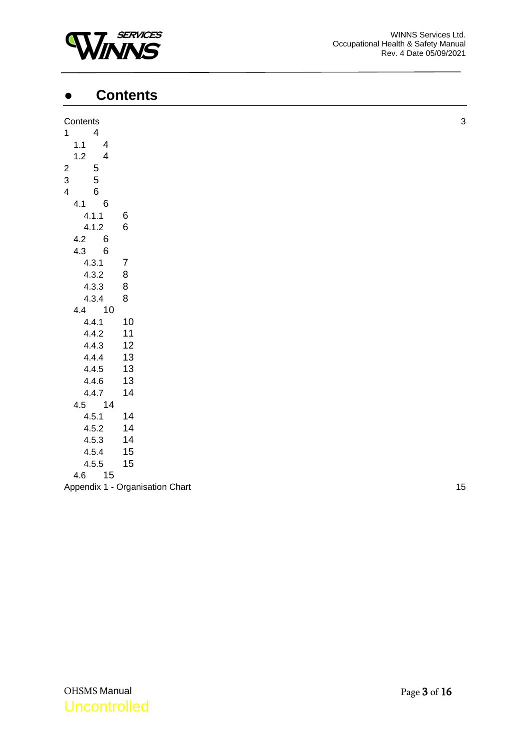

# <span id="page-2-0"></span>● **Contents**

| Contents                         |                                 | 3  |
|----------------------------------|---------------------------------|----|
| $\overline{4}$<br>$1 -$          |                                 |    |
| $1.1$<br>$\overline{4}$          |                                 |    |
| $1.2$<br>$\overline{\mathbf{4}}$ |                                 |    |
| $\overline{c}$                   |                                 |    |
| $\frac{5}{5}$<br>3               |                                 |    |
| $\,6$<br>4                       |                                 |    |
| $\,6$<br>4.1                     |                                 |    |
| 4.1.1                            | 6                               |    |
| 4.1.2                            | $\,6$                           |    |
| $\,6$<br>4.2                     |                                 |    |
| 4.3 6                            |                                 |    |
| 4.3.1                            | $\overline{7}$                  |    |
| 4.3.2                            | $\,8\,$                         |    |
| 4.3.3                            | 8                               |    |
| 4.3.4                            | 8                               |    |
| 4.4 10                           |                                 |    |
| 4.4.1                            | 10                              |    |
| 4.4.2                            | 11                              |    |
| 4.4.3                            | 12                              |    |
| 4.4.4                            | 13                              |    |
| 4.4.5                            | 13                              |    |
| 4.4.6                            | 13                              |    |
| 4.4.7                            | 14                              |    |
| 4.5 14                           |                                 |    |
| 4.5.1                            | 14                              |    |
| 4.5.2                            | 14                              |    |
| 4.5.3                            | 14                              |    |
| 4.5.4                            | 15                              |    |
| 4.5.5                            | 15                              |    |
| 15<br>4.6                        |                                 |    |
|                                  | Appendix 1 - Organisation Chart | 15 |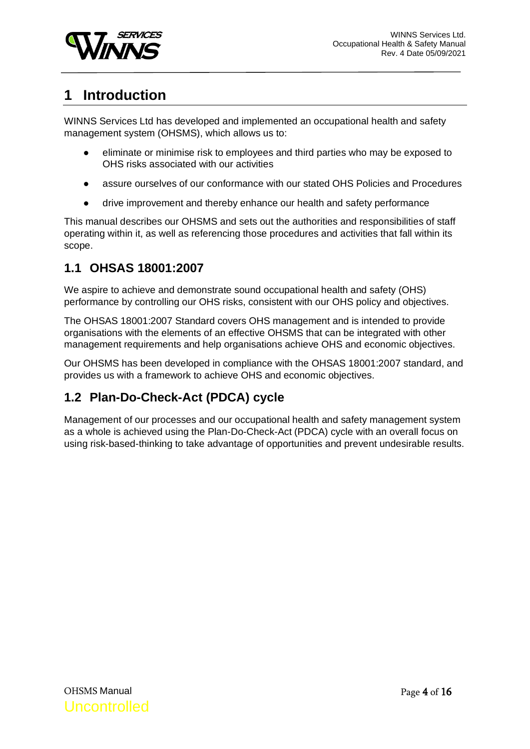

# <span id="page-3-0"></span>**1 Introduction**

WINNS Services Ltd has developed and implemented an occupational health and safety management system (OHSMS), which allows us to:

- eliminate or minimise risk to employees and third parties who may be exposed to OHS risks associated with our activities
- assure ourselves of our conformance with our stated OHS Policies and Procedures
- drive improvement and thereby enhance our health and safety performance

This manual describes our OHSMS and sets out the authorities and responsibilities of staff operating within it, as well as referencing those procedures and activities that fall within its scope.

### <span id="page-3-1"></span>**1.1 OHSAS 18001:2007**

We aspire to achieve and demonstrate sound occupational health and safety (OHS) performance by controlling our OHS risks, consistent with our OHS policy and objectives.

The OHSAS 18001:2007 Standard covers OHS management and is intended to provide organisations with the elements of an effective OHSMS that can be integrated with other management requirements and help organisations achieve OHS and economic objectives.

Our OHSMS has been developed in compliance with the OHSAS 18001:2007 standard, and provides us with a framework to achieve OHS and economic objectives.

## <span id="page-3-2"></span>**1.2 Plan-Do-Check-Act (PDCA) cycle**

Management of our processes and our occupational health and safety management system as a whole is achieved using the Plan-Do-Check-Act (PDCA) cycle with an overall focus on using risk-based-thinking to take advantage of opportunities and prevent undesirable results.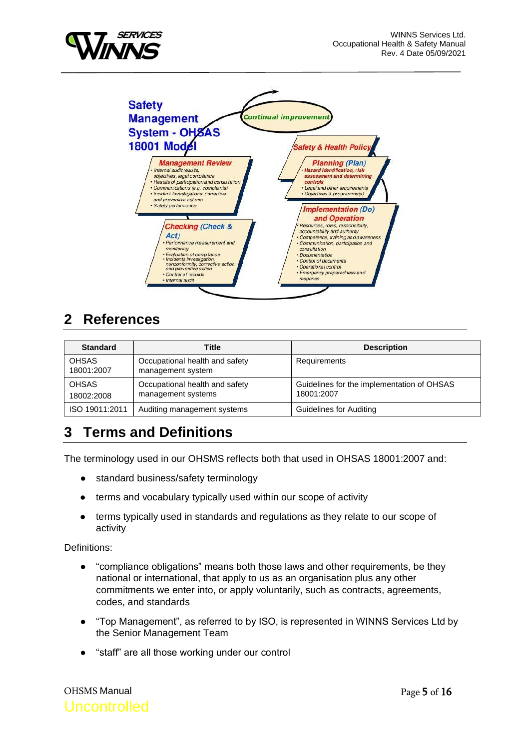



# <span id="page-4-0"></span>**2 References**

| <b>Standard</b>            | Title                                                | <b>Description</b>                                       |
|----------------------------|------------------------------------------------------|----------------------------------------------------------|
| <b>OHSAS</b><br>18001:2007 | Occupational health and safety<br>management system  | Requirements                                             |
| <b>OHSAS</b><br>18002:2008 | Occupational health and safety<br>management systems | Guidelines for the implementation of OHSAS<br>18001:2007 |
| ISO 19011:2011             | Auditing management systems                          | Guidelines for Auditing                                  |

# <span id="page-4-1"></span>**3 Terms and Definitions**

The terminology used in our OHSMS reflects both that used in OHSAS 18001:2007 and:

- standard business/safety terminology
- terms and vocabulary typically used within our scope of activity
- terms typically used in standards and regulations as they relate to our scope of activity

Definitions:

- "compliance obligations" means both those laws and other requirements, be they national or international, that apply to us as an organisation plus any other commitments we enter into, or apply voluntarily, such as contracts, agreements, codes, and standards
- "Top Management", as referred to by ISO, is represented in WINNS Services Ltd by the Senior Management Team
- "staff" are all those working under our control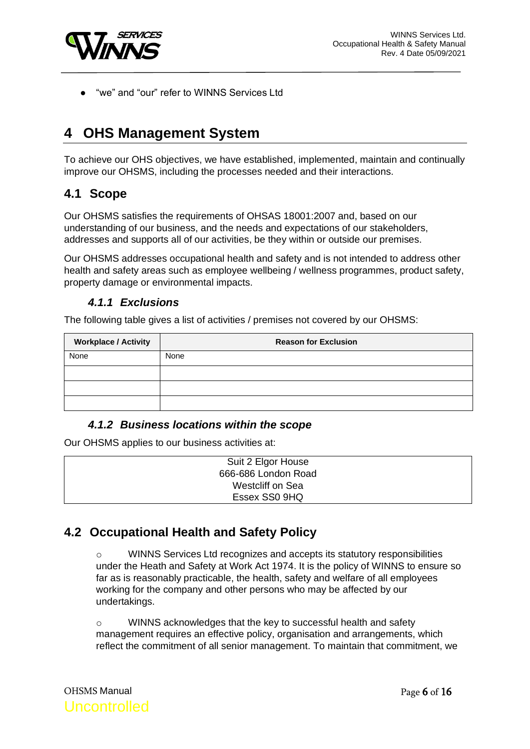

"we" and "our" refer to WINNS Services Ltd

# <span id="page-5-0"></span>**4 OHS Management System**

To achieve our OHS objectives, we have established, implemented, maintain and continually improve our OHSMS, including the processes needed and their interactions.

### <span id="page-5-1"></span>**4.1 Scope**

Our OHSMS satisfies the requirements of OHSAS 18001:2007 and, based on our understanding of our business, and the needs and expectations of our stakeholders, addresses and supports all of our activities, be they within or outside our premises.

Our OHSMS addresses occupational health and safety and is not intended to address other health and safety areas such as employee wellbeing / wellness programmes, product safety, property damage or environmental impacts.

#### *4.1.1 Exclusions*

<span id="page-5-2"></span>The following table gives a list of activities / premises not covered by our OHSMS:

| <b>Workplace / Activity</b> | <b>Reason for Exclusion</b> |
|-----------------------------|-----------------------------|
| None                        | None                        |
|                             |                             |
|                             |                             |
|                             |                             |

#### *4.1.2 Business locations within the scope*

<span id="page-5-3"></span>Our OHSMS applies to our business activities at:

| Suit 2 Elgor House  |
|---------------------|
| 666-686 London Road |
| Westcliff on Sea    |
| Essex SS0 9HQ       |

### <span id="page-5-5"></span><span id="page-5-4"></span>**4.2 Occupational Health and Safety Policy**

o WINNS Services Ltd recognizes and accepts its statutory responsibilities under the Heath and Safety at Work Act 1974. It is the policy of WINNS to ensure so far as is reasonably practicable, the health, safety and welfare of all employees working for the company and other persons who may be affected by our undertakings.

o WINNS acknowledges that the key to successful health and safety management requires an effective policy, organisation and arrangements, which reflect the commitment of all senior management. To maintain that commitment, we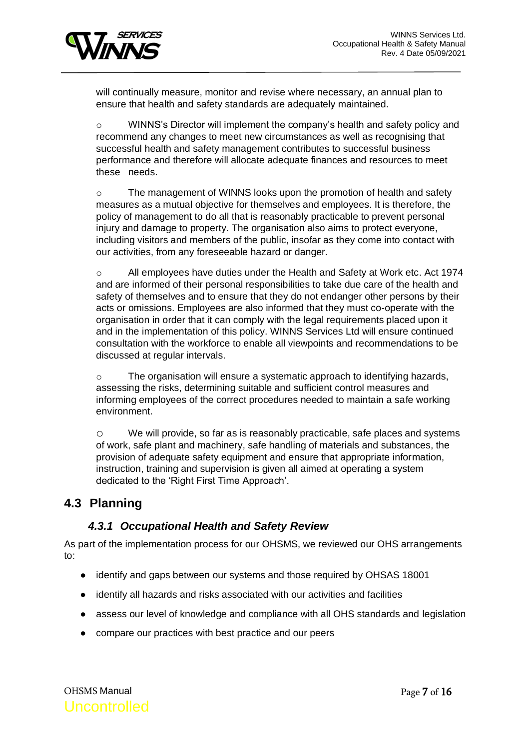

will continually measure, monitor and revise where necessary, an annual plan to ensure that health and safety standards are adequately maintained.

o WINNS's Director will implement the company's health and safety policy and recommend any changes to meet new circumstances as well as recognising that successful health and safety management contributes to successful business performance and therefore will allocate adequate finances and resources to meet these needs.

o The management of WINNS looks upon the promotion of health and safety measures as a mutual objective for themselves and employees. It is therefore, the policy of management to do all that is reasonably practicable to prevent personal injury and damage to property. The organisation also aims to protect everyone, including visitors and members of the public, insofar as they come into contact with our activities, from any foreseeable hazard or danger.

o All employees have duties under the Health and Safety at Work etc. Act 1974 and are informed of their personal responsibilities to take due care of the health and safety of themselves and to ensure that they do not endanger other persons by their acts or omissions. Employees are also informed that they must co-operate with the organisation in order that it can comply with the legal requirements placed upon it and in the implementation of this policy. WINNS Services Ltd will ensure continued consultation with the workforce to enable all viewpoints and recommendations to be discussed at regular intervals.

o The organisation will ensure a systematic approach to identifying hazards, assessing the risks, determining suitable and sufficient control measures and informing employees of the correct procedures needed to maintain a safe working environment.

o We will provide, so far as is reasonably practicable, safe places and systems of work, safe plant and machinery, safe handling of materials and substances, the provision of adequate safety equipment and ensure that appropriate information, instruction, training and supervision is given all aimed at operating a system dedicated to the 'Right First Time Approach'.

### **4.3 Planning**

#### *4.3.1 Occupational Health and Safety Review*

<span id="page-6-0"></span>As part of the implementation process for our OHSMS, we reviewed our OHS arrangements to:

- identify and gaps between our systems and those required by OHSAS 18001
- identify all hazards and risks associated with our activities and facilities
- assess our level of knowledge and compliance with all OHS standards and legislation
- compare our practices with best practice and our peers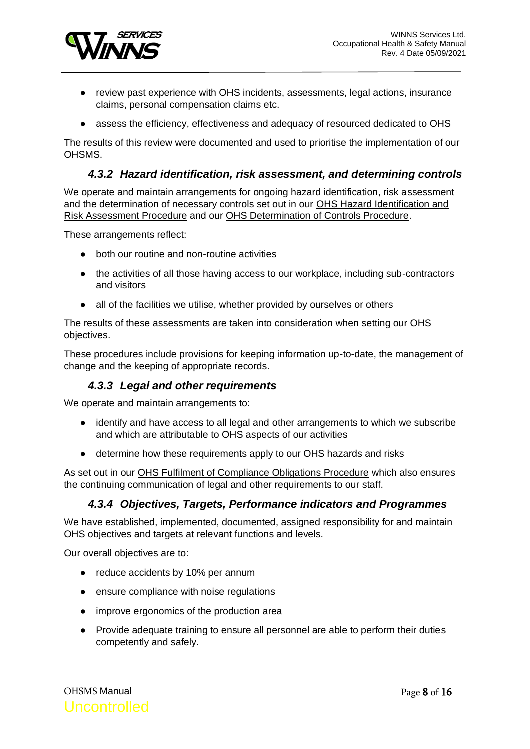

- review past experience with OHS incidents, assessments, legal actions, insurance claims, personal compensation claims etc.
- assess the efficiency, effectiveness and adequacy of resourced dedicated to OHS

The results of this review were documented and used to prioritise the implementation of our OHSMS.

#### *4.3.2 Hazard identification, risk assessment, and determining controls*

<span id="page-7-0"></span>We operate and maintain arrangements for ongoing hazard identification, risk assessment and the determination of necessary controls set out in our OHS Hazard Identification and Risk Assessment Procedure and our OHS Determination of Controls Procedure.

These arrangements reflect:

- both our routine and non-routine activities
- the activities of all those having access to our workplace, including sub-contractors and visitors
- all of the facilities we utilise, whether provided by ourselves or others

The results of these assessments are taken into consideration when setting our OHS objectives.

These procedures include provisions for keeping information up-to-date, the management of change and the keeping of appropriate records.

#### *4.3.3 Legal and other requirements*

<span id="page-7-1"></span>We operate and maintain arrangements to:

- identify and have access to all legal and other arrangements to which we subscribe and which are attributable to OHS aspects of our activities
- determine how these requirements apply to our OHS hazards and risks

As set out in our OHS Fulfilment of Compliance Obligations Procedure which also ensures the continuing communication of legal and other requirements to our staff.

#### *4.3.4 Objectives, Targets, Performance indicators and Programmes*

<span id="page-7-2"></span>We have established, implemented, documented, assigned responsibility for and maintain OHS objectives and targets at relevant functions and levels.

Our overall objectives are to:

- reduce accidents by 10% per annum
- ensure compliance with noise regulations
- improve ergonomics of the production area
- Provide adequate training to ensure all personnel are able to perform their duties competently and safely.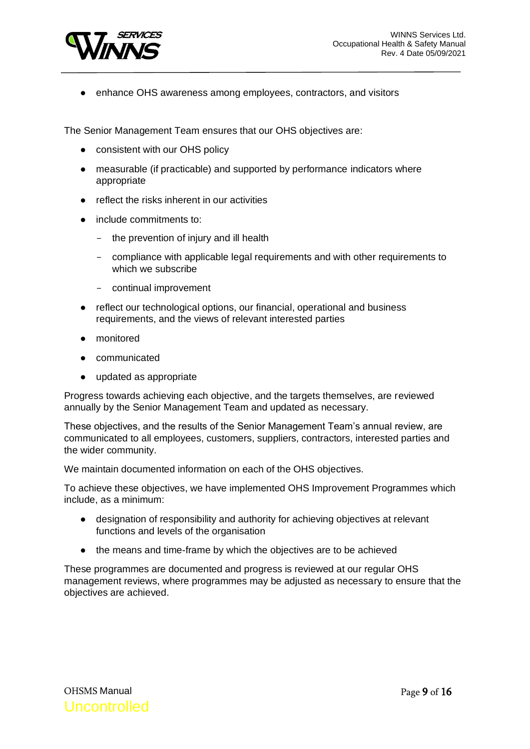

● enhance OHS awareness among employees, contractors, and visitors

The Senior Management Team ensures that our OHS objectives are:

- consistent with our OHS policy
- measurable (if practicable) and supported by performance indicators where appropriate
- reflect the risks inherent in our activities
- include commitments to:
	- the prevention of injury and ill health
	- compliance with applicable legal requirements and with other requirements to which we subscribe
	- continual improvement
- reflect our technological options, our financial, operational and business requirements, and the views of relevant interested parties
- monitored
- communicated
- updated as appropriate

Progress towards achieving each objective, and the targets themselves, are reviewed annually by the Senior Management Team and updated as necessary.

These objectives, and the results of the Senior Management Team's annual review, are communicated to all employees, customers, suppliers, contractors, interested parties and the wider community.

We maintain documented information on each of the OHS objectives.

To achieve these objectives, we have implemented OHS Improvement Programmes which include, as a minimum:

- designation of responsibility and authority for achieving objectives at relevant functions and levels of the organisation
- the means and time-frame by which the objectives are to be achieved

These programmes are documented and progress is reviewed at our regular OHS management reviews, where programmes may be adjusted as necessary to ensure that the objectives are achieved.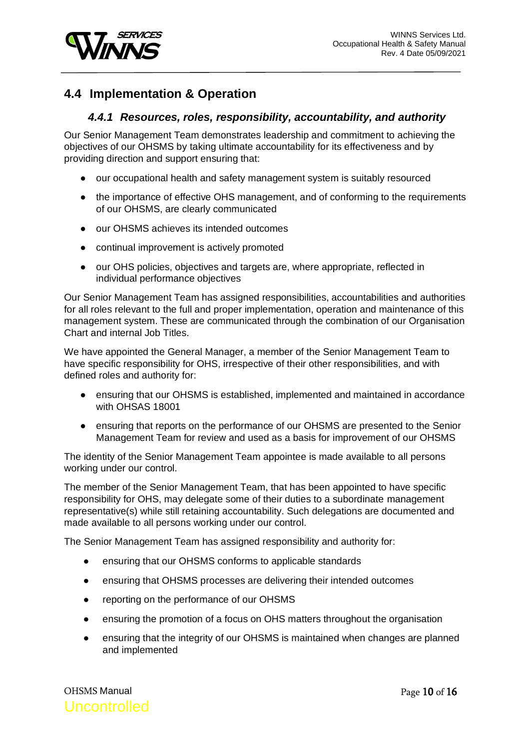

### <span id="page-9-0"></span>**4.4 Implementation & Operation**

#### *4.4.1 Resources, roles, responsibility, accountability, and authority*

<span id="page-9-1"></span>Our Senior Management Team demonstrates leadership and commitment to achieving the objectives of our OHSMS by taking ultimate accountability for its effectiveness and by providing direction and support ensuring that:

- our occupational health and safety management system is suitably resourced
- the importance of effective OHS management, and of conforming to the requirements of our OHSMS, are clearly communicated
- our OHSMS achieves its intended outcomes
- continual improvement is actively promoted
- our OHS policies, objectives and targets are, where appropriate, reflected in individual performance objectives

Our Senior Management Team has assigned responsibilities, accountabilities and authorities for all roles relevant to the full and proper implementation, operation and maintenance of this management system. These are communicated through the combination of our Organisation Chart and internal Job Titles.

We have appointed the General Manager, a member of the Senior Management Team to have specific responsibility for OHS, irrespective of their other responsibilities, and with defined roles and authority for:

- ensuring that our OHSMS is established, implemented and maintained in accordance with OHSAS 18001
- ensuring that reports on the performance of our OHSMS are presented to the Senior Management Team for review and used as a basis for improvement of our OHSMS

The identity of the Senior Management Team appointee is made available to all persons working under our control.

The member of the Senior Management Team, that has been appointed to have specific responsibility for OHS, may delegate some of their duties to a subordinate management representative(s) while still retaining accountability. Such delegations are documented and made available to all persons working under our control.

The Senior Management Team has assigned responsibility and authority for:

- ensuring that our OHSMS conforms to applicable standards
- ensuring that OHSMS processes are delivering their intended outcomes
- reporting on the performance of our OHSMS
- ensuring the promotion of a focus on OHS matters throughout the organisation
- ensuring that the integrity of our OHSMS is maintained when changes are planned and implemented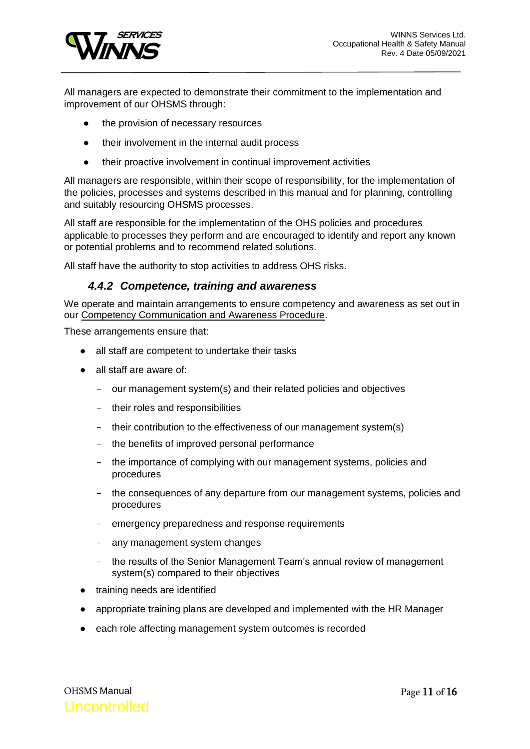

All managers are expected to demonstrate their commitment to the implementation and improvement of our OHSMS through:

- the provision of necessary resources
- their involvement in the internal audit process
- their proactive involvement in continual improvement activities

All managers are responsible, within their scope of responsibility, for the implementation of the policies, processes and systems described in this manual and for planning, controlling and suitably resourcing OHSMS processes.

All staff are responsible for the implementation of the OHS policies and procedures applicable to processes they perform and are encouraged to identify and report any known or potential problems and to recommend related solutions.

<span id="page-10-0"></span>All staff have the authority to stop activities to address OHS risks.

#### *4.4.2 Competence, training and awareness*

We operate and maintain arrangements to ensure competency and awareness as set out in our Competency Communication and Awareness Procedure.

These arrangements ensure that:

- all staff are competent to undertake their tasks
- all staff are aware of:
	- our management system(s) and their related policies and objectives
	- their roles and responsibilities
	- their contribution to the effectiveness of our management system(s)
	- the benefits of improved personal performance
	- the importance of complying with our management systems, policies and procedures
	- the consequences of any departure from our management systems, policies and procedures
	- emergency preparedness and response requirements
	- any management system changes
	- the results of the Senior Management Team's annual review of management system(s) compared to their objectives
- training needs are identified
- appropriate training plans are developed and implemented with the HR Manager
- each role affecting management system outcomes is recorded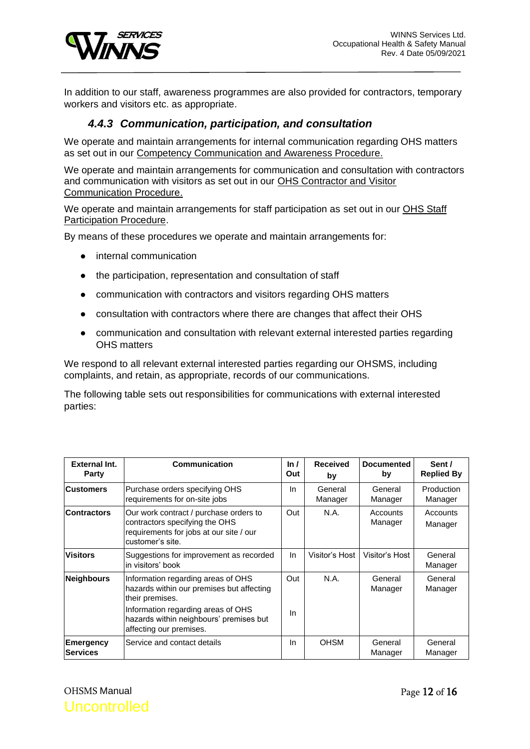

In addition to our staff, awareness programmes are also provided for contractors, temporary workers and visitors etc. as appropriate.

#### *4.4.3 Communication, participation, and consultation*

<span id="page-11-0"></span>We operate and maintain arrangements for internal communication regarding OHS matters as set out in our Competency Communication and Awareness Procedure.

We operate and maintain arrangements for communication and consultation with contractors and communication with visitors as set out in our OHS Contractor and Visitor Communication Procedure.

We operate and maintain arrangements for staff participation as set out in our OHS Staff Participation Procedure.

By means of these procedures we operate and maintain arrangements for:

- internal communication
- the participation, representation and consultation of staff
- communication with contractors and visitors regarding OHS matters
- consultation with contractors where there are changes that affect their OHS
- communication and consultation with relevant external interested parties regarding OHS matters

We respond to all relevant external interested parties regarding our OHSMS, including complaints, and retain, as appropriate, records of our communications.

The following table sets out responsibilities for communications with external interested parties:

| <b>External Int.</b><br><b>Party</b> | Communication                                                                                                                                                                                                  | ln/<br>Out | <b>Received</b><br>by | <b>Documented</b><br>by | Sent /<br><b>Replied By</b> |
|--------------------------------------|----------------------------------------------------------------------------------------------------------------------------------------------------------------------------------------------------------------|------------|-----------------------|-------------------------|-----------------------------|
| <b>Customers</b>                     | Purchase orders specifying OHS<br>requirements for on-site jobs                                                                                                                                                | In.        | General<br>Manager    | General<br>Manager      | Production<br>Manager       |
| <b>Contractors</b>                   | Our work contract / purchase orders to<br>contractors specifying the OHS<br>requirements for jobs at our site / our<br>customer's site.                                                                        |            | N.A.                  | Accounts<br>Manager     | Accounts<br>Manager         |
| <b>Visitors</b>                      | Suggestions for improvement as recorded<br>in visitors' book                                                                                                                                                   | In.        | Visitor's Host        | Visitor's Host          | General<br>Manager          |
| <b>Neighbours</b>                    | Information regarding areas of OHS<br>hazards within our premises but affecting<br>their premises.<br>Information regarding areas of OHS<br>hazards within neighbours' premises but<br>affecting our premises. | Out<br>In  | N.A.                  | General<br>Manager      | General<br>Manager          |
| <b>Emergency</b><br><b>Services</b>  | Service and contact details                                                                                                                                                                                    | In.        | <b>OHSM</b>           | General<br>Manager      | General<br>Manager          |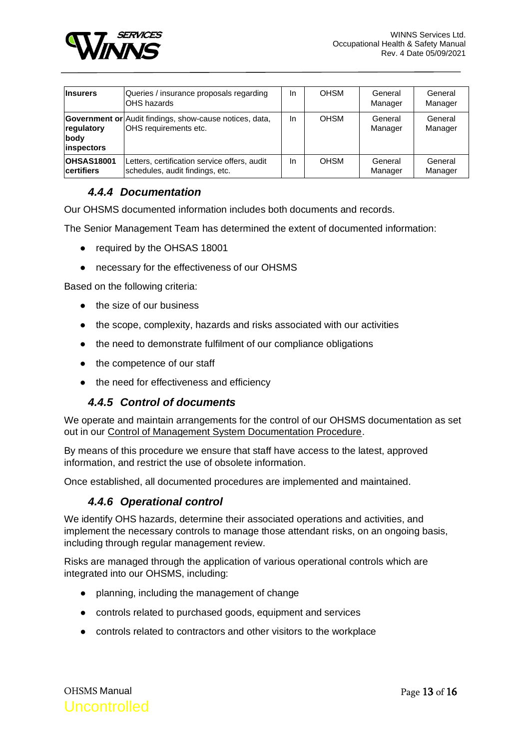

| <b>Insurers</b>                          | Queries / insurance proposals regarding<br>IOHS hazards                                 | In | <b>OHSM</b> | General<br>Manager | General<br>Manager |
|------------------------------------------|-----------------------------------------------------------------------------------------|----|-------------|--------------------|--------------------|
| regulatory<br>body<br><i>linspectors</i> | <b>Government or</b> Audit findings, show-cause notices, data,<br>OHS requirements etc. | In | <b>OHSM</b> | General<br>Manager | General<br>Manager |
| <b>OHSAS18001</b><br><b>certifiers</b>   | Letters, certification service offers, audit<br>schedules, audit findings, etc.         | In | <b>OHSM</b> | General<br>Manager | General<br>Manager |

#### *4.4.4 Documentation*

<span id="page-12-0"></span>Our OHSMS documented information includes both documents and records.

The Senior Management Team has determined the extent of documented information:

- required by the OHSAS 18001
- necessary for the effectiveness of our OHSMS

Based on the following criteria:

- the size of our business
- the scope, complexity, hazards and risks associated with our activities
- the need to demonstrate fulfilment of our compliance obligations
- the competence of our staff
- the need for effectiveness and efficiency

#### *4.4.5 Control of documents*

<span id="page-12-1"></span>We operate and maintain arrangements for the control of our OHSMS documentation as set out in our Control of Management System Documentation Procedure.

By means of this procedure we ensure that staff have access to the latest, approved information, and restrict the use of obsolete information.

<span id="page-12-2"></span>Once established, all documented procedures are implemented and maintained.

#### *4.4.6 Operational control*

We identify OHS hazards, determine their associated operations and activities, and implement the necessary controls to manage those attendant risks, on an ongoing basis, including through regular management review.

Risks are managed through the application of various operational controls which are integrated into our OHSMS, including:

- planning, including the management of change
- controls related to purchased goods, equipment and services
- controls related to contractors and other visitors to the workplace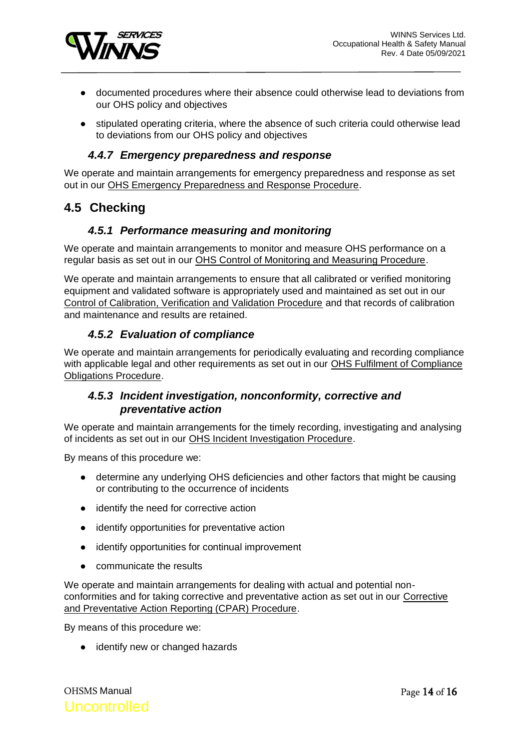

- documented procedures where their absence could otherwise lead to deviations from our OHS policy and objectives
- stipulated operating criteria, where the absence of such criteria could otherwise lead to deviations from our OHS policy and objectives

#### *4.4.7 Emergency preparedness and response*

<span id="page-13-0"></span>We operate and maintain arrangements for emergency preparedness and response as set out in our OHS Emergency Preparedness and Response Procedure.

### <span id="page-13-1"></span>**4.5 Checking**

#### *4.5.1 Performance measuring and monitoring*

<span id="page-13-2"></span>We operate and maintain arrangements to monitor and measure OHS performance on a regular basis as set out in our OHS Control of Monitoring and Measuring Procedure.

We operate and maintain arrangements to ensure that all calibrated or verified monitoring equipment and validated software is appropriately used and maintained as set out in our Control of Calibration, Verification and Validation Procedure and that records of calibration and maintenance and results are retained.

#### *4.5.2 Evaluation of compliance*

<span id="page-13-3"></span>We operate and maintain arrangements for periodically evaluating and recording compliance with applicable legal and other requirements as set out in our OHS Fulfilment of Compliance Obligations Procedure.

#### <span id="page-13-4"></span>*4.5.3 Incident investigation, nonconformity, corrective and preventative action*

We operate and maintain arrangements for the timely recording, investigating and analysing of incidents as set out in our OHS Incident Investigation Procedure.

By means of this procedure we:

- determine any underlying OHS deficiencies and other factors that might be causing or contributing to the occurrence of incidents
- identify the need for corrective action
- identify opportunities for preventative action
- identify opportunities for continual improvement
- communicate the results

We operate and maintain arrangements for dealing with actual and potential nonconformities and for taking corrective and preventative action as set out in our Corrective and Preventative Action Reporting (CPAR) Procedure.

By means of this procedure we:

● identify new or changed hazards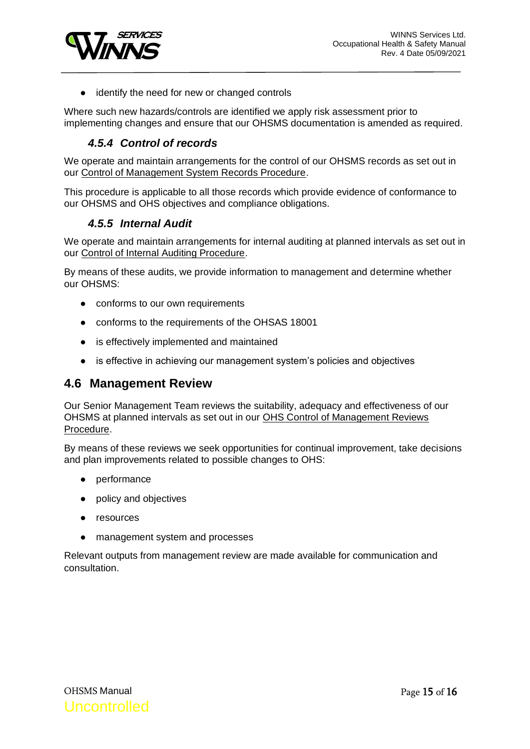

● identify the need for new or changed controls

Where such new hazards/controls are identified we apply risk assessment prior to implementing changes and ensure that our OHSMS documentation is amended as required.

### *4.5.4 Control of records*

<span id="page-14-0"></span>We operate and maintain arrangements for the control of our OHSMS records as set out in our Control of Management System Records Procedure.

This procedure is applicable to all those records which provide evidence of conformance to our OHSMS and OHS objectives and compliance obligations.

#### *4.5.5 Internal Audit*

<span id="page-14-1"></span>We operate and maintain arrangements for internal auditing at planned intervals as set out in our Control of Internal Auditing Procedure.

By means of these audits, we provide information to management and determine whether our OHSMS:

- conforms to our own requirements
- conforms to the requirements of the OHSAS 18001
- is effectively implemented and maintained
- is effective in achieving our management system's policies and objectives

#### <span id="page-14-2"></span>**4.6 Management Review**

Our Senior Management Team reviews the suitability, adequacy and effectiveness of our OHSMS at planned intervals as set out in our OHS Control of Management Reviews Procedure.

By means of these reviews we seek opportunities for continual improvement, take decisions and plan improvements related to possible changes to OHS:

- performance
- policy and objectives
- resources
- management system and processes

Relevant outputs from management review are made available for communication and consultation.

OHSMS Manual **Uncontrolled**